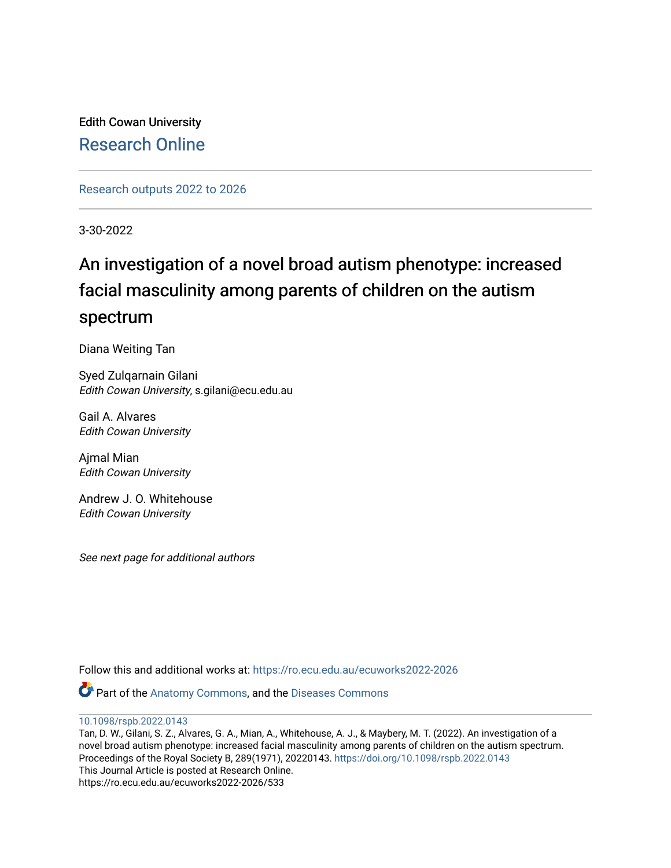Edith Cowan University [Research Online](https://ro.ecu.edu.au/) 

[Research outputs 2022 to 2026](https://ro.ecu.edu.au/ecuworks2022-2026) 

3-30-2022

# An investigation of a novel broad autism phenotype: increased facial masculinity among parents of children on the autism spectrum

Diana Weiting Tan

Syed Zulqarnain Gilani Edith Cowan University, s.gilani@ecu.edu.au

Gail A. Alvares Edith Cowan University

Ajmal Mian Edith Cowan University

Andrew J. O. Whitehouse Edith Cowan University

See next page for additional authors

Follow this and additional works at: [https://ro.ecu.edu.au/ecuworks2022-2026](https://ro.ecu.edu.au/ecuworks2022-2026?utm_source=ro.ecu.edu.au%2Fecuworks2022-2026%2F533&utm_medium=PDF&utm_campaign=PDFCoverPages)

Part of the [Anatomy Commons,](https://network.bepress.com/hgg/discipline/903?utm_source=ro.ecu.edu.au%2Fecuworks2022-2026%2F533&utm_medium=PDF&utm_campaign=PDFCoverPages) and the [Diseases Commons](https://network.bepress.com/hgg/discipline/813?utm_source=ro.ecu.edu.au%2Fecuworks2022-2026%2F533&utm_medium=PDF&utm_campaign=PDFCoverPages) 

[10.1098/rspb.2022.0143](http://dx.doi.org/10.1098/rspb.2022.0143)

Tan, D. W., Gilani, S. Z., Alvares, G. A., Mian, A., Whitehouse, A. J., & Maybery, M. T. (2022). An investigation of a novel broad autism phenotype: increased facial masculinity among parents of children on the autism spectrum. Proceedings of the Royal Society B, 289(1971), 20220143.<https://doi.org/10.1098/rspb.2022.0143> This Journal Article is posted at Research Online. https://ro.ecu.edu.au/ecuworks2022-2026/533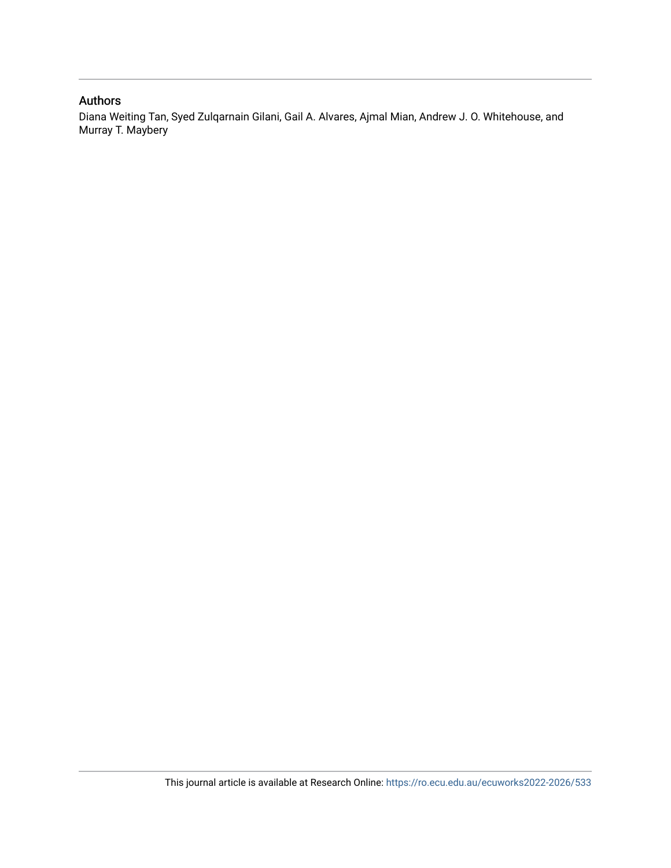#### Authors

Diana Weiting Tan, Syed Zulqarnain Gilani, Gail A. Alvares, Ajmal Mian, Andrew J. O. Whitehouse, and Murray T. Maybery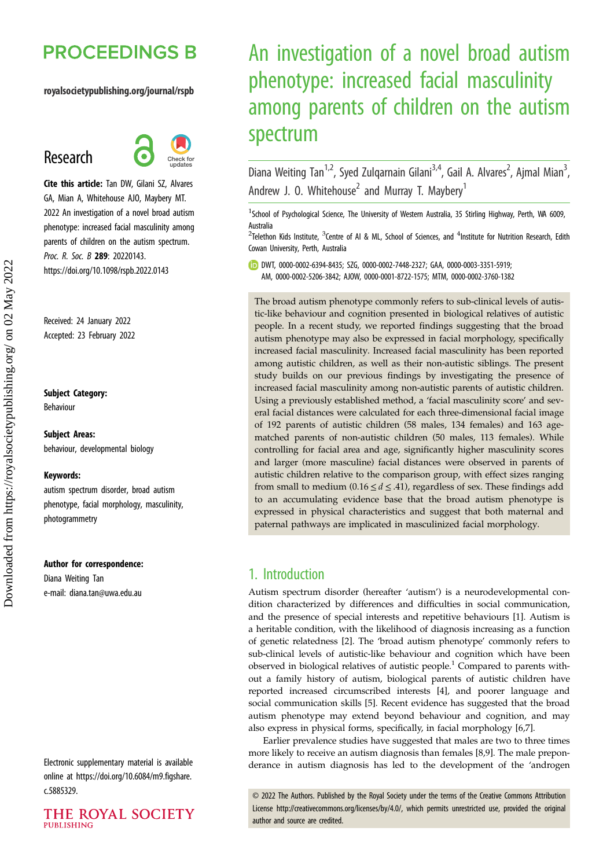## **PROCEEDINGS B**

#### royalsocietypublishing.org/journal/rspb

## Research



Cite this article: Tan DW, Gilani SZ, Alvares GA, Mian A, Whitehouse AJO, Maybery MT. 2022 An investigation of a novel broad autism phenotype: increased facial masculinity among parents of children on the autism spectrum. Proc. R. Soc. B 289: 20220143. https://doi.org/10.1098/rspb.2022.0143

Received: 24 January 2022 Accepted: 23 February 2022

#### Subject Category:

Behaviour

Subject Areas: behaviour, developmental biology

#### Keywords:

autism spectrum disorder, broad autism phenotype, facial morphology, masculinity, photogrammetry

#### Author for correspondence:

Diana Weiting Tan e-mail: [diana.tan@uwa.edu.au](mailto:diana.tan@uwa.edu.au)

Electronic supplementary material is available online at [https://doi.org/10.6084/m9.figshare.](https://doi.org/10.6084/m9.figshare.c.5885329) [c.5885329.](https://doi.org/10.6084/m9.figshare.c.5885329)



# An investigation of a novel broad autism phenotype: increased facial masculinity among parents of children on the autism spectrum

Diana Weiting Tan<sup>1,2</sup>, Syed Zulqarnain Gilani<sup>3,4</sup>, Gail A. Alvares<sup>2</sup>, Ajmal Mian<sup>3</sup> , Andrew J. O. Whitehouse<sup>2</sup> and Murray T. Maybery<sup>1</sup>

<sup>1</sup>School of Psychological Science, The University of Western Australia, 35 Stirling Highway, Perth, WA 6009, Australia

 $^{2}$ Telethon Kids Institute,  $^{3}$ Centre of AI & ML, School of Sciences, and  $^{4}$ Institute for Nutrition Research, Edith Cowan University, Perth, Australia

DWT, [0000-0002-6394-8435;](http://orcid.org/0000-0002-6394-8435) SZG, [0000-0002-7448-2327;](https://orcid.org/0000-0002-7448-2327) GAA, [0000-0003-3351-5919;](https://orcid.org/0000-0003-3351-5919) AM, [0000-0002-5206-3842;](https://orcid.org/0000-0002-5206-3842) AJOW, [0000-0001-8722-1575;](https://orcid.org/0000-0001-8722-1575) MTM, [0000-0002-3760-1382](https://orcid.org/0000-0002-3760-1382)

The broad autism phenotype commonly refers to sub-clinical levels of autistic-like behaviour and cognition presented in biological relatives of autistic people. In a recent study, we reported findings suggesting that the broad autism phenotype may also be expressed in facial morphology, specifically increased facial masculinity. Increased facial masculinity has been reported among autistic children, as well as their non-autistic siblings. The present study builds on our previous findings by investigating the presence of increased facial masculinity among non-autistic parents of autistic children. Using a previously established method, a 'facial masculinity score' and several facial distances were calculated for each three-dimensional facial image of 192 parents of autistic children (58 males, 134 females) and 163 agematched parents of non-autistic children (50 males, 113 females). While controlling for facial area and age, significantly higher masculinity scores and larger (more masculine) facial distances were observed in parents of autistic children relative to the comparison group, with effect sizes ranging from small to medium (0.16  $\leq d \leq$  .41), regardless of sex. These findings add to an accumulating evidence base that the broad autism phenotype is expressed in physical characteristics and suggest that both maternal and paternal pathways are implicated in masculinized facial morphology.

## 1. Introduction

Autism spectrum disorder (hereafter 'autism') is a neurodevelopmental condition characterized by differences and difficulties in social communication, and the presence of special interests and repetitive behaviours [\[1\]](#page-8-0). Autism is a heritable condition, with the likelihood of diagnosis increasing as a function of genetic relatedness [\[2\]](#page-8-0). The 'broad autism phenotype' commonly refers to sub-clinical levels of autistic-like behaviour and cognition which have been observed in biological relatives of autistic people.<sup>1</sup> Compared to parents without a family history of autism, biological parents of autistic children have reported increased circumscribed interests [[4](#page-8-0)], and poorer language and social communication skills [[5](#page-8-0)]. Recent evidence has suggested that the broad autism phenotype may extend beyond behaviour and cognition, and may also express in physical forms, specifically, in facial morphology [[6,7](#page-8-0)].

Earlier prevalence studies have suggested that males are two to three times more likely to receive an autism diagnosis than females [\[8,9](#page-8-0)]. The male preponderance in autism diagnosis has led to the development of the 'androgen

© 2022 The Authors. Published by the Royal Society under the terms of the Creative Commons Attribution License<http://creativecommons.org/licenses/by/4.0/>, which permits unrestricted use, provided the original author and source are credited.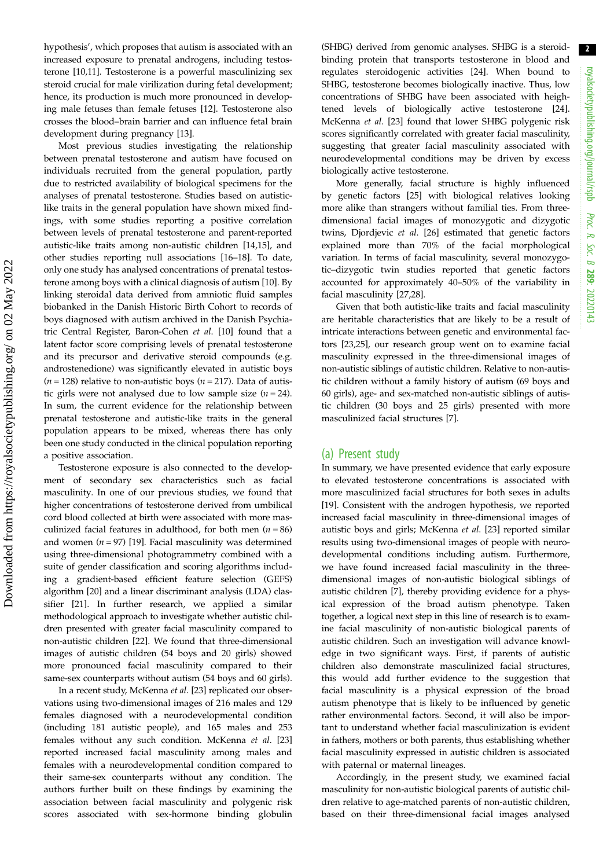hypothesis', which proposes that autism is associated with an increased exposure to prenatal androgens, including testosterone [[10,11](#page-9-0)]. Testosterone is a powerful masculinizing sex steroid crucial for male virilization during fetal development; hence, its production is much more pronounced in developing male fetuses than female fetuses [\[12](#page-9-0)]. Testosterone also crosses the blood–brain barrier and can influence fetal brain development during pregnancy [\[13](#page-9-0)].

Most previous studies investigating the relationship between prenatal testosterone and autism have focused on individuals recruited from the general population, partly due to restricted availability of biological specimens for the analyses of prenatal testosterone. Studies based on autisticlike traits in the general population have shown mixed findings, with some studies reporting a positive correlation between levels of prenatal testosterone and parent-reported autistic-like traits among non-autistic children [[14,15\]](#page-9-0), and other studies reporting null associations [[16](#page-9-0)–[18](#page-9-0)]. To date, only one study has analysed concentrations of prenatal testosterone among boys with a clinical diagnosis of autism [[10\]](#page-9-0). By linking steroidal data derived from amniotic fluid samples biobanked in the Danish Historic Birth Cohort to records of boys diagnosed with autism archived in the Danish Psychiatric Central Register, Baron-Cohen et al. [\[10](#page-9-0)] found that a latent factor score comprising levels of prenatal testosterone and its precursor and derivative steroid compounds (e.g. androstenedione) was significantly elevated in autistic boys  $(n = 128)$  relative to non-autistic boys  $(n = 217)$ . Data of autistic girls were not analysed due to low sample size  $(n = 24)$ . In sum, the current evidence for the relationship between prenatal testosterone and autistic-like traits in the general population appears to be mixed, whereas there has only been one study conducted in the clinical population reporting a positive association.

Testosterone exposure is also connected to the development of secondary sex characteristics such as facial masculinity. In one of our previous studies, we found that higher concentrations of testosterone derived from umbilical cord blood collected at birth were associated with more masculinized facial features in adulthood, for both men  $(n = 86)$ and women  $(n = 97)$  [[19\]](#page-9-0). Facial masculinity was determined using three-dimensional photogrammetry combined with a suite of gender classification and scoring algorithms including a gradient-based efficient feature selection (GEFS) algorithm [[20\]](#page-9-0) and a linear discriminant analysis (LDA) classifier [\[21](#page-9-0)]. In further research, we applied a similar methodological approach to investigate whether autistic children presented with greater facial masculinity compared to non-autistic children [\[22](#page-9-0)]. We found that three-dimensional images of autistic children (54 boys and 20 girls) showed more pronounced facial masculinity compared to their same-sex counterparts without autism (54 boys and 60 girls).

In a recent study, McKenna et al. [\[23](#page-9-0)] replicated our observations using two-dimensional images of 216 males and 129 females diagnosed with a neurodevelopmental condition (including 181 autistic people), and 165 males and 253 females without any such condition. McKenna et al. [[23\]](#page-9-0) reported increased facial masculinity among males and females with a neurodevelopmental condition compared to their same-sex counterparts without any condition. The authors further built on these findings by examining the association between facial masculinity and polygenic risk scores associated with sex-hormone binding globulin (SHBG) derived from genomic analyses. SHBG is a steroidbinding protein that transports testosterone in blood and regulates steroidogenic activities [\[24](#page-9-0)]. When bound to SHBG, testosterone becomes biologically inactive. Thus, low concentrations of SHBG have been associated with heightened levels of biologically active testosterone [[24\]](#page-9-0). McKenna et al. [\[23](#page-9-0)] found that lower SHBG polygenic risk scores significantly correlated with greater facial masculinity, suggesting that greater facial masculinity associated with neurodevelopmental conditions may be driven by excess biologically active testosterone.

More generally, facial structure is highly influenced by genetic factors [\[25](#page-9-0)] with biological relatives looking more alike than strangers without familial ties. From threedimensional facial images of monozygotic and dizygotic twins, Djordjevic et al. [[26\]](#page-9-0) estimated that genetic factors explained more than 70% of the facial morphological variation. In terms of facial masculinity, several monozygotic–dizygotic twin studies reported that genetic factors accounted for approximately 40–50% of the variability in facial masculinity [\[27](#page-9-0),[28\]](#page-9-0).

Given that both autistic-like traits and facial masculinity are heritable characteristics that are likely to be a result of intricate interactions between genetic and environmental factors [[23,25](#page-9-0)], our research group went on to examine facial masculinity expressed in the three-dimensional images of non-autistic siblings of autistic children. Relative to non-autistic children without a family history of autism (69 boys and 60 girls), age- and sex-matched non-autistic siblings of autistic children (30 boys and 25 girls) presented with more masculinized facial structures [\[7\]](#page-8-0).

#### (a) Present study

In summary, we have presented evidence that early exposure to elevated testosterone concentrations is associated with more masculinized facial structures for both sexes in adults [[19\]](#page-9-0). Consistent with the androgen hypothesis, we reported increased facial masculinity in three-dimensional images of autistic boys and girls; McKenna et al. [[23\]](#page-9-0) reported similar results using two-dimensional images of people with neurodevelopmental conditions including autism. Furthermore, we have found increased facial masculinity in the threedimensional images of non-autistic biological siblings of autistic children [[7](#page-8-0)], thereby providing evidence for a physical expression of the broad autism phenotype. Taken together, a logical next step in this line of research is to examine facial masculinity of non-autistic biological parents of autistic children. Such an investigation will advance knowledge in two significant ways. First, if parents of autistic children also demonstrate masculinized facial structures, this would add further evidence to the suggestion that facial masculinity is a physical expression of the broad autism phenotype that is likely to be influenced by genetic rather environmental factors. Second, it will also be important to understand whether facial masculinization is evident in fathers, mothers or both parents, thus establishing whether facial masculinity expressed in autistic children is associated with paternal or maternal lineages.

Accordingly, in the present study, we examined facial masculinity for non-autistic biological parents of autistic children relative to age-matched parents of non-autistic children, based on their three-dimensional facial images analysed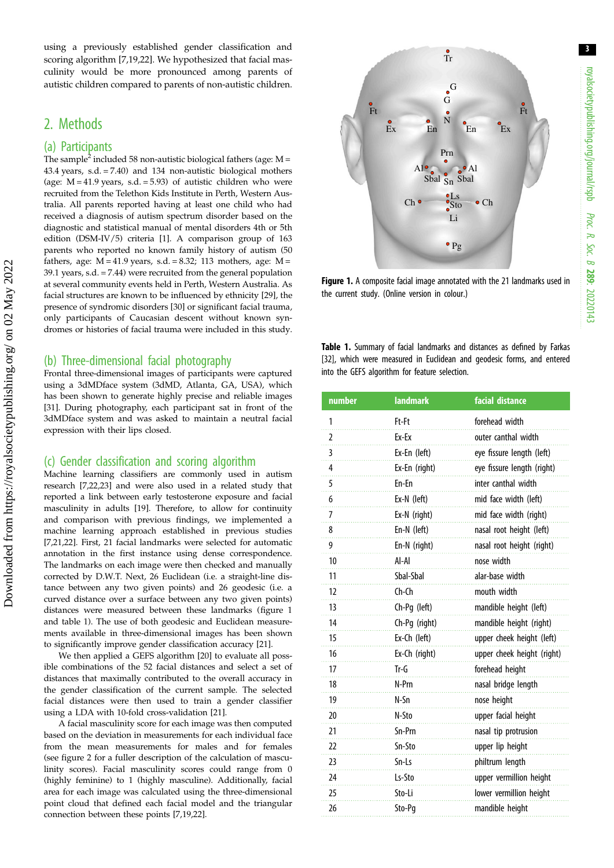royalsocietypublishing.org/journal/rspb royalsocietypublishing.org/journal/rspb Proc. R. Soc. $\sigma$ 289: 20220143

3

using a previously established gender classification and scoring algorithm [[7](#page-8-0),[19,22\]](#page-9-0). We hypothesized that facial masculinity would be more pronounced among parents of autistic children compared to parents of non-autistic children.

## 2. Methods

Downloaded from https://royalsocietypublishing.org/ on 02 May 2022

Downloaded from https://royalsocietypublishing.org/ on 02 May 2022

#### (a) Participants

The sample<sup>2</sup> included 58 non-autistic biological fathers (age:  $M =$ 43.4 years, s.d. = 7.40) and 134 non-autistic biological mothers (age:  $M = 41.9$  years, s.d. = 5.93) of autistic children who were recruited from the Telethon Kids Institute in Perth, Western Australia. All parents reported having at least one child who had received a diagnosis of autism spectrum disorder based on the diagnostic and statistical manual of mental disorders 4th or 5th edition (DSM-IV/5) criteria [\[1\]](#page-8-0). A comparison group of 163 parents who reported no known family history of autism (50 fathers, age:  $M = 41.9$  years, s.d. = 8.32; 113 mothers, age:  $M =$ 39.1 years, s.d. = 7.44) were recruited from the general population at several community events held in Perth, Western Australia. As facial structures are known to be influenced by ethnicity [\[29\]](#page-9-0), the presence of syndromic disorders [\[30\]](#page-9-0) or significant facial trauma, only participants of Caucasian descent without known syndromes or histories of facial trauma were included in this study.

#### (b) Three-dimensional facial photography

Frontal three-dimensional images of participants were captured using a 3dMDface system (3dMD, Atlanta, GA, USA), which has been shown to generate highly precise and reliable images [\[31\]](#page-9-0). During photography, each participant sat in front of the 3dMDface system and was asked to maintain a neutral facial expression with their lips closed.

#### (c) Gender classification and scoring algorithm

Machine learning classifiers are commonly used in autism research [\[7](#page-8-0)[,22,23\]](#page-9-0) and were also used in a related study that reported a link between early testosterone exposure and facial masculinity in adults [[19](#page-9-0)]. Therefore, to allow for continuity and comparison with previous findings, we implemented a machine learning approach established in previous studies [\[7](#page-8-0),[21,22\]](#page-9-0). First, 21 facial landmarks were selected for automatic annotation in the first instance using dense correspondence. The landmarks on each image were then checked and manually corrected by D.W.T. Next, 26 Euclidean (i.e. a straight-line distance between any two given points) and 26 geodesic (i.e. a curved distance over a surface between any two given points) distances were measured between these landmarks (figure 1 and table 1). The use of both geodesic and Euclidean measurements available in three-dimensional images has been shown to significantly improve gender classification accuracy [\[21\]](#page-9-0).

We then applied a GEFS algorithm [\[20\]](#page-9-0) to evaluate all possible combinations of the 52 facial distances and select a set of distances that maximally contributed to the overall accuracy in the gender classification of the current sample. The selected facial distances were then used to train a gender classifier using a LDA with 10-fold cross-validation [[21](#page-9-0)].

A facial masculinity score for each image was then computed based on the deviation in measurements for each individual face from the mean measurements for males and for females (see [figure 2](#page-5-0) for a fuller description of the calculation of masculinity scores). Facial masculinity scores could range from 0 (highly feminine) to 1 (highly masculine). Additionally, facial area for each image was calculated using the three-dimensional point cloud that defined each facial model and the triangular connection between these points [\[7,](#page-8-0)[19,22\]](#page-9-0).

 $\frac{1}{T}$ Ft **Ft**  $\frac{\bullet}{\text{Ex}}$  En  $\frac{\bullet}{\text{En}}$  En  $\frac{\bullet}{\text{Ex}}$ G G  $\overset{\bullet}{N}$ Prn  $Al^{\circ}$   $\bullet$   $Al^{\circ}$ Sbal Sn Sbal  $\text{Ch} \bullet \qquad \begin{array}{c} \bullet \text{Ls} \\ \text{Sto} \end{array} \bullet \text{Ch}$ Li  $^{\circ}$  Pg

Figure 1. A composite facial image annotated with the 21 landmarks used in the current study. (Online version in colour.)

Table 1. Summary of facial landmarks and distances as defined by Farkas [\[32\]](#page-9-0), which were measured in Euclidean and geodesic forms, and entered into the GEFS algorithm for feature selection.

| number         | <b>landmark</b> | facial distance            |
|----------------|-----------------|----------------------------|
| 1              | Ft-Ft           | forehead width             |
| $\overline{2}$ | Ex-Ex           | outer canthal width        |
| 3              | Ex-En (left)    | eye fissure length (left)  |
| 4              | Ex-En (right)   | eye fissure length (right) |
| 5              | En-En           | inter canthal width        |
| 6              | Ex-N (left)     | mid face width (left)      |
| 7              | Ex-N (right)    | mid face width (right)     |
| 8              | En-N (left)     | nasal root height (left)   |
| 9              | En-N (right)    | nasal root height (right)  |
| 10             | Al-Al           | nose width                 |
| 11             | Sbal-Sbal       | alar-base width            |
| 12             | $Ch$ - $Ch$     | mouth width                |
| 13             | Ch-Pq (left)    | mandible height (left)     |
| 14             | Ch-Pg (right)   | mandible height (right)    |
| 15             | Ex-Ch (left)    | upper cheek height (left)  |
| 16             | Ex-Ch (right)   | upper cheek height (right) |
| 17             | $Tr-G$          | forehead height            |
| 18             | N-Prn           | nasal bridge length        |
| 19             | N-Sn            | nose height                |
| 20             | N-Sto           | upper facial height        |
| 21             | Sn-Prn          | nasal tip protrusion       |
| 22             | Sn-Sto          | upper lip height           |
| 23             | Sn-Ls           | philtrum length            |
| 24             | Ls-Sto          | upper vermillion height    |
| 25             | Sto-Li          | lower vermillion height    |
| 26             | Sto-Pq          | mandible height            |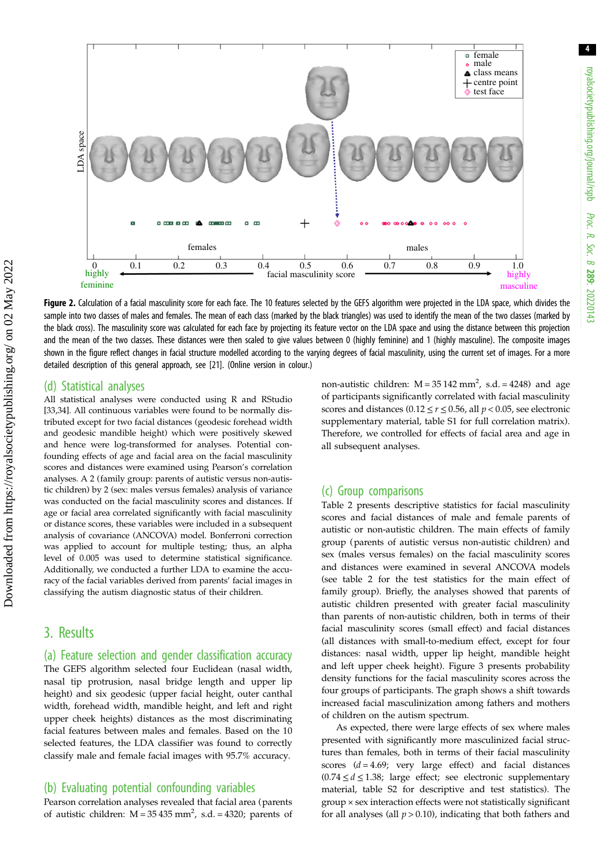<span id="page-5-0"></span>

Figure 2. Calculation of a facial masculinity score for each face. The 10 features selected by the GEFS algorithm were projected in the LDA space, which divides the sample into two classes of males and females. The mean of each class (marked by the black triangles) was used to identify the mean of the two classes (marked by the black cross). The masculinity score was calculated for each face by projecting its feature vector on the LDA space and using the distance between this projection and the mean of the two classes. These distances were then scaled to give values between 0 (highly feminine) and 1 (highly masculine). The composite images shown in the figure reflect changes in facial structure modelled according to the varying degrees of facial masculinity, using the current set of images. For a more detailed description of this general approach, see [\[21\]](#page-9-0). (Online version in colour.)

#### (d) Statistical analyses

All statistical analyses were conducted using R and RStudio [\[33,34](#page-9-0)]. All continuous variables were found to be normally distributed except for two facial distances (geodesic forehead width and geodesic mandible height) which were positively skewed and hence were log-transformed for analyses. Potential confounding effects of age and facial area on the facial masculinity scores and distances were examined using Pearson's correlation analyses. A 2 (family group: parents of autistic versus non-autistic children) by 2 (sex: males versus females) analysis of variance was conducted on the facial masculinity scores and distances. If age or facial area correlated significantly with facial masculinity or distance scores, these variables were included in a subsequent analysis of covariance (ANCOVA) model. Bonferroni correction was applied to account for multiple testing; thus, an alpha level of 0.005 was used to determine statistical significance. Additionally, we conducted a further LDA to examine the accuracy of the facial variables derived from parents' facial images in classifying the autism diagnostic status of their children.

## 3. Results

(a) Feature selection and gender classification accuracy

The GEFS algorithm selected four Euclidean (nasal width, nasal tip protrusion, nasal bridge length and upper lip height) and six geodesic (upper facial height, outer canthal width, forehead width, mandible height, and left and right upper cheek heights) distances as the most discriminating facial features between males and females. Based on the 10 selected features, the LDA classifier was found to correctly classify male and female facial images with 95.7% accuracy.

#### (b) Evaluating potential confounding variables

Pearson correlation analyses revealed that facial area (parents of autistic children:  $M = 35435$  mm<sup>2</sup>, s.d. = 4320; parents of

non-autistic children:  $M = 35142$  mm<sup>2</sup>, s.d. = 4248) and age of participants significantly correlated with facial masculinity scores and distances (0.12  $\leq$   $r$   $\leq$  0.56, all  $p$  < 0.05, see electronic supplementary material, table S1 for full correlation matrix). Therefore, we controlled for effects of facial area and age in all subsequent analyses.

#### (c) Group comparisons

[Table 2](#page-6-0) presents descriptive statistics for facial masculinity scores and facial distances of male and female parents of autistic or non-autistic children. The main effects of family group (parents of autistic versus non-autistic children) and sex (males versus females) on the facial masculinity scores and distances were examined in several ANCOVA models (see [table 2](#page-6-0) for the test statistics for the main effect of family group). Briefly, the analyses showed that parents of autistic children presented with greater facial masculinity than parents of non-autistic children, both in terms of their facial masculinity scores (small effect) and facial distances (all distances with small-to-medium effect, except for four distances: nasal width, upper lip height, mandible height and left upper cheek height). [Figure 3](#page-7-0) presents probability density functions for the facial masculinity scores across the four groups of participants. The graph shows a shift towards increased facial masculinization among fathers and mothers of children on the autism spectrum.

As expected, there were large effects of sex where males presented with significantly more masculinized facial structures than females, both in terms of their facial masculinity scores  $(d = 4.69)$ ; very large effect) and facial distances  $(0.74 \le d \le 1.38)$ ; large effect; see electronic supplementary material, table S2 for descriptive and test statistics). The group × sex interaction effects were not statistically significant for all analyses (all  $p > 0.10$ ), indicating that both fathers and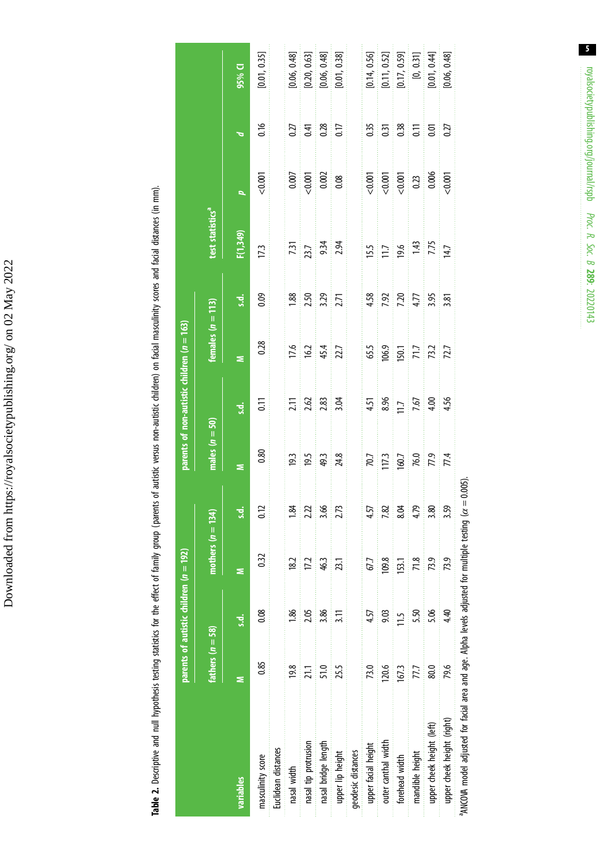Downloaded from https://royalsocietypublishing.org/ on 02 May 2022 Downloaded from https://royalsocietypublishing.org/ on 02 May 2022 Table 2. Descriptive and null hypothesis testing statistics for the effect of family group (parents of autistic versus non-autistic children) on facial masculinity scores and facial distances (in mm). Table 2. Descriptive and null hypothesis testing statistics for the effect of family group (parents of autistic versus non-autistic children) on facial masculinity scores and facial distances (in mm).

<span id="page-6-0"></span>

|                                                                                                                             |                    | parents of autistic children ( $n = 192$ ) |                     |      |                     | parents of non-autistic children $(n = 163)$          |                                        |                                    |                              |                                          |                                             |              |
|-----------------------------------------------------------------------------------------------------------------------------|--------------------|--------------------------------------------|---------------------|------|---------------------|-------------------------------------------------------|----------------------------------------|------------------------------------|------------------------------|------------------------------------------|---------------------------------------------|--------------|
|                                                                                                                             | fathers $(n = 58)$ |                                            | mothers $(n = 134)$ |      | males $(n = 50)$    |                                                       | females $(n = 113)$                    |                                    | test statistics <sup>a</sup> |                                          |                                             |              |
| variables                                                                                                                   |                    | s.d.                                       | Ξ                   | s.d. | Ξ                   | s.d.                                                  | s                                      | $\vec{a}$                          | F(1,349)                     | þ.                                       | $\sigma$                                    | 95% Q        |
| masculinity score                                                                                                           | 0.85               | 0.08                                       | 0.32                | 0.12 | 0.80                | $\overline{0}$ .                                      | 0.28                                   | 0.09                               | 17.3                         | 0.001                                    | 0.16                                        | [0.01, 0.35] |
| Euclidean distances                                                                                                         |                    |                                            |                     |      |                     |                                                       |                                        |                                    |                              |                                          |                                             |              |
| nasal width                                                                                                                 | 19.8               | 38 <sub>1</sub>                            | 182                 | 1.84 | 19.3                |                                                       |                                        | 1.88                               |                              |                                          |                                             | [0.06, 0.48] |
| nasal tip protrusion                                                                                                        | 21.1               | 2.05                                       | 17.2                | 2.22 | $\frac{19.5}{49.3}$ |                                                       |                                        |                                    |                              |                                          |                                             | [0.20, 0.63] |
| nasal bridge length                                                                                                         | 51.0               | 3.86                                       | 46.3                | 3.66 |                     | $\frac{71}{2.62}$ $\frac{83}{2.63}$ $\frac{83}{2.64}$ | $\frac{17.6}{16.2}$<br>45.4<br>22.7    | <b>150</b><br>3.29<br>2.71         | $\frac{731}{23.7}$           | $\frac{0.007}{0.001}$                    | 0.27<br>0.41<br>0.38                        | [0.06, 0.48] |
| upper lip height                                                                                                            | 25.5               | 3.11                                       | 23.1                | 2.73 | $\frac{24.8}{2}$    |                                                       |                                        |                                    | 2.94                         |                                          |                                             | [0.01, 0.38] |
| geodesic distances                                                                                                          |                    |                                            |                     |      |                     |                                                       |                                        |                                    |                              |                                          |                                             |              |
| upper facial height                                                                                                         | 73.0               | 4.57                                       | 67.7                | 4.57 |                     |                                                       |                                        |                                    |                              |                                          |                                             | [0.14, 0.56] |
| outer canthal width                                                                                                         | 120.6              | 9.03                                       | 109.8               | 7.82 | 70.7<br>117.3       | $4.51$<br>8.96<br>1.7<br>7.67<br>4.56                 | 65.5<br>106.9<br>150.1<br>71.7<br>72.7 | $4.58$<br>7.92 $7.7$<br>4.77 $3.5$ | $\frac{15.5}{11.7}$          | $\frac{0.001}{0.001}$                    | $\begin{array}{c} 0.35 \\ 0.31 \end{array}$ | [0.11, 0.52] |
| forehead width                                                                                                              | 167.3              | $\frac{5}{11}$                             | 153.1               | 8.04 | 160.7               |                                                       |                                        |                                    |                              | $\frac{1}{20}$<br>0.23<br>0.006<br>0.000 | 33 F 5 27                                   | [0.17, 0.59] |
| mandible height                                                                                                             | 777                | 5.50                                       | 71.8                | 4.79 |                     |                                                       |                                        |                                    |                              |                                          |                                             | [0, 0.31]    |
| upper cheek height (left)                                                                                                   | 80.0               | 5.06                                       | 73.9                | 3.80 | $\frac{76.0}{77.4}$ |                                                       |                                        |                                    | $\frac{143}{7.75}$           |                                          |                                             | [0.01, 0.44] |
| upper cheek height (right)                                                                                                  | 79.6               | 4.40                                       | 73.9                | 3.59 |                     |                                                       |                                        |                                    |                              |                                          |                                             | [0.06, 0.48] |
| <sup>a</sup> ANCOVA model adjusted for facial area and age. Alpha levels adjusted for multiple testing ( $\alpha = 0.005$ ) |                    |                                            |                     |      |                     |                                                       |                                        |                                    |                              |                                          |                                             |              |

 $\overline{\phantom{0}}$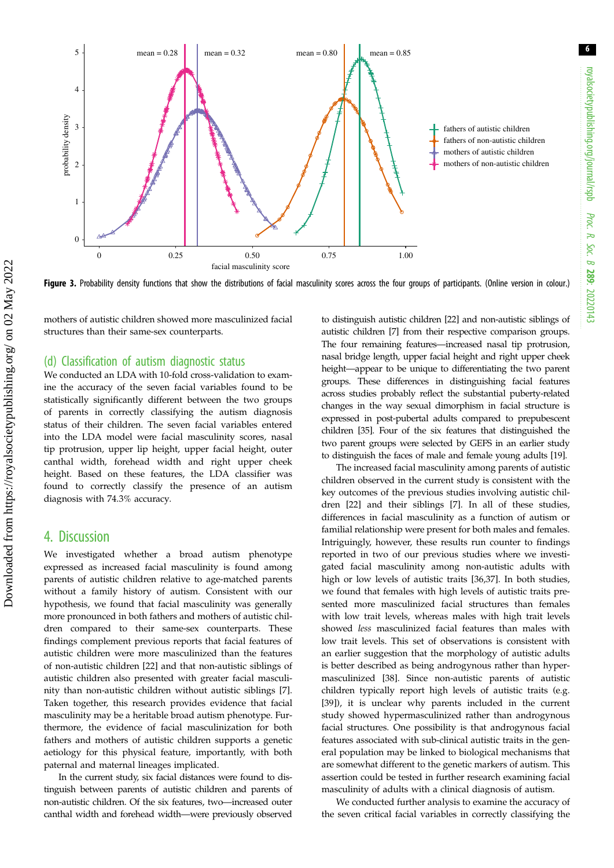6

<span id="page-7-0"></span>

Figure 3. Probability density functions that show the distributions of facial masculinity scores across the four groups of participants. (Online version in colour.)

mothers of autistic children showed more masculinized facial structures than their same-sex counterparts.

#### (d) Classification of autism diagnostic status

We conducted an LDA with 10-fold cross-validation to examine the accuracy of the seven facial variables found to be statistically significantly different between the two groups of parents in correctly classifying the autism diagnosis status of their children. The seven facial variables entered into the LDA model were facial masculinity scores, nasal tip protrusion, upper lip height, upper facial height, outer canthal width, forehead width and right upper cheek height. Based on these features, the LDA classifier was found to correctly classify the presence of an autism diagnosis with 74.3% accuracy.

### 4. Discussion

We investigated whether a broad autism phenotype expressed as increased facial masculinity is found among parents of autistic children relative to age-matched parents without a family history of autism. Consistent with our hypothesis, we found that facial masculinity was generally more pronounced in both fathers and mothers of autistic children compared to their same-sex counterparts. These findings complement previous reports that facial features of autistic children were more masculinized than the features of non-autistic children [\[22](#page-9-0)] and that non-autistic siblings of autistic children also presented with greater facial masculinity than non-autistic children without autistic siblings [[7](#page-8-0)]. Taken together, this research provides evidence that facial masculinity may be a heritable broad autism phenotype. Furthermore, the evidence of facial masculinization for both fathers and mothers of autistic children supports a genetic aetiology for this physical feature, importantly, with both paternal and maternal lineages implicated.

In the current study, six facial distances were found to distinguish between parents of autistic children and parents of non-autistic children. Of the six features, two—increased outer canthal width and forehead width—were previously observed to distinguish autistic children [[22](#page-9-0)] and non-autistic siblings of autistic children [\[7](#page-8-0)] from their respective comparison groups. The four remaining features—increased nasal tip protrusion, nasal bridge length, upper facial height and right upper cheek height—appear to be unique to differentiating the two parent groups. These differences in distinguishing facial features across studies probably reflect the substantial puberty-related changes in the way sexual dimorphism in facial structure is expressed in post-pubertal adults compared to prepubescent children [[35](#page-9-0)]. Four of the six features that distinguished the two parent groups were selected by GEFS in an earlier study to distinguish the faces of male and female young adults [[19](#page-9-0)].

The increased facial masculinity among parents of autistic children observed in the current study is consistent with the key outcomes of the previous studies involving autistic children [\[22](#page-9-0)] and their siblings [\[7\]](#page-8-0). In all of these studies, differences in facial masculinity as a function of autism or familial relationship were present for both males and females. Intriguingly, however, these results run counter to findings reported in two of our previous studies where we investigated facial masculinity among non-autistic adults with high or low levels of autistic traits [\[36,37](#page-9-0)]. In both studies, we found that females with high levels of autistic traits presented more masculinized facial structures than females with low trait levels, whereas males with high trait levels showed less masculinized facial features than males with low trait levels. This set of observations is consistent with an earlier suggestion that the morphology of autistic adults is better described as being androgynous rather than hypermasculinized [[38\]](#page-9-0). Since non-autistic parents of autistic children typically report high levels of autistic traits (e.g. [[39\]](#page-9-0)), it is unclear why parents included in the current study showed hypermasculinized rather than androgynous facial structures. One possibility is that androgynous facial features associated with sub-clinical autistic traits in the general population may be linked to biological mechanisms that are somewhat different to the genetic markers of autism. This assertion could be tested in further research examining facial masculinity of adults with a clinical diagnosis of autism.

We conducted further analysis to examine the accuracy of the seven critical facial variables in correctly classifying the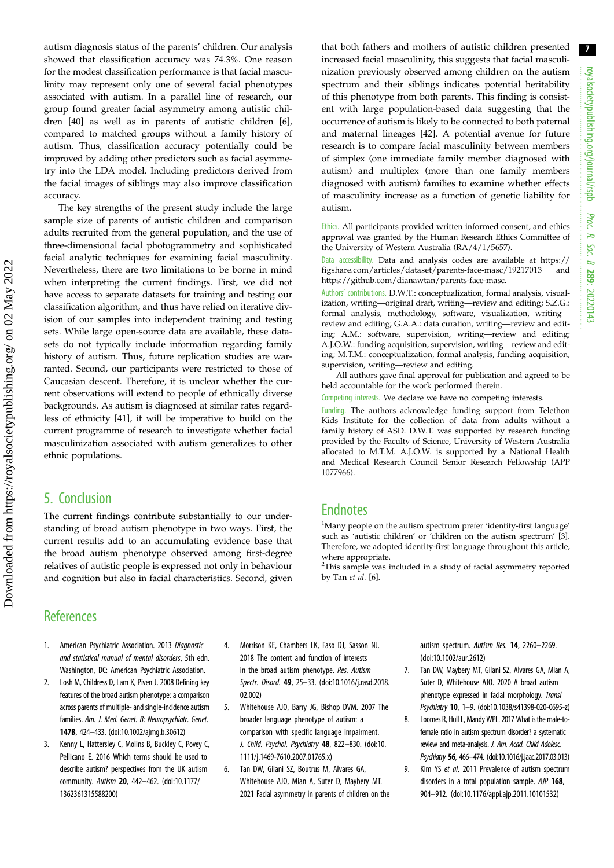7

<span id="page-8-0"></span>autism diagnosis status of the parents' children. Our analysis showed that classification accuracy was 74.3%. One reason for the modest classification performance is that facial masculinity may represent only one of several facial phenotypes associated with autism. In a parallel line of research, our group found greater facial asymmetry among autistic children [\[40](#page-9-0)] as well as in parents of autistic children [6], compared to matched groups without a family history of autism. Thus, classification accuracy potentially could be improved by adding other predictors such as facial asymmetry into the LDA model. Including predictors derived from the facial images of siblings may also improve classification accuracy.

The key strengths of the present study include the large sample size of parents of autistic children and comparison adults recruited from the general population, and the use of three-dimensional facial photogrammetry and sophisticated facial analytic techniques for examining facial masculinity. Nevertheless, there are two limitations to be borne in mind when interpreting the current findings. First, we did not have access to separate datasets for training and testing our classification algorithm, and thus have relied on iterative division of our samples into independent training and testing sets. While large open-source data are available, these datasets do not typically include information regarding family history of autism. Thus, future replication studies are warranted. Second, our participants were restricted to those of Caucasian descent. Therefore, it is unclear whether the current observations will extend to people of ethnically diverse backgrounds. As autism is diagnosed at similar rates regardless of ethnicity [[41](#page-9-0)], it will be imperative to build on the current programme of research to investigate whether facial masculinization associated with autism generalizes to other ethnic populations.

## 5. Conclusion

The current findings contribute substantially to our understanding of broad autism phenotype in two ways. First, the current results add to an accumulating evidence base that the broad autism phenotype observed among first-degree relatives of autistic people is expressed not only in behaviour and cognition but also in facial characteristics. Second, given that both fathers and mothers of autistic children presented increased facial masculinity, this suggests that facial masculinization previously observed among children on the autism spectrum and their siblings indicates potential heritability of this phenotype from both parents. This finding is consistent with large population-based data suggesting that the occurrence of autism is likely to be connected to both paternal and maternal lineages [\[42](#page-9-0)]. A potential avenue for future research is to compare facial masculinity between members of simplex (one immediate family member diagnosed with autism) and multiplex (more than one family members diagnosed with autism) families to examine whether effects of masculinity increase as a function of genetic liability for autism.

Ethics. All participants provided written informed consent, and ethics approval was granted by the Human Research Ethics Committee of the University of Western Australia (RA/4/1/5657).

Data accessibility. Data and analysis codes are available at [https://](https://figshare.com/articles/dataset/parents-face-masc/19217013) [figshare.com/articles/dataset/parents-face-masc/19217013](https://figshare.com/articles/dataset/parents-face-masc/19217013) and <https://github.com/dianawtan/parents-face-masc>.

Authors' contributions. D.W.T.: conceptualization, formal analysis, visualization, writing—original draft, writing—review and editing; S.Z.G.: formal analysis, methodology, software, visualization, writing review and editing; G.A.A.: data curation, writing—review and editing; A.M.: software, supervision, writing—review and editing; A.J.O.W.: funding acquisition, supervision, writing—review and editing; M.T.M.: conceptualization, formal analysis, funding acquisition, supervision, writing—review and editing.

All authors gave final approval for publication and agreed to be held accountable for the work performed therein.

Competing interests. We declare we have no competing interests.

Funding. The authors acknowledge funding support from Telethon Kids Institute for the collection of data from adults without a family history of ASD. D.W.T. was supported by research funding provided by the Faculty of Science, University of Western Australia allocated to M.T.M. A.J.O.W. is supported by a National Health and Medical Research Council Senior Research Fellowship (APP 1077966).

## **Endnotes**

<sup>1</sup>Many people on the autism spectrum prefer 'identity-first language' such as 'autistic children' or 'children' on the autism spectrum' [3]. Therefore, we adopted identity-first language throughout this article, where appropriate.

<sup>2</sup>This sample was included in a study of facial asymmetry reported by Tan et al. [6].

## **References**

- 1. American Psychiatric Association. 2013 Diagnostic and statistical manual of mental disorders, 5th edn. Washington, DC: American Psychiatric Association.
- 2. Losh M, Childress D, Lam K, Piven J. 2008 Defining key features of the broad autism phenotype: a comparison across parents of multiple- and single-incidence autism families. Am. J. Med. Genet. B: Neuropsychiatr. Genet. 147B, 424–433. [\(doi:10.1002/ajmg.b.30612\)](http://dx.doi.org/10.1002/ajmg.b.30612)
- 3. Kenny L, Hattersley C, Molins B, Buckley C, Povey C, Pellicano E. 2016 Which terms should be used to describe autism? perspectives from the UK autism community. Autism 20, 442–462. [\(doi:10.1177/](http://dx.doi.org/10.1177/1362361315588200) [1362361315588200](http://dx.doi.org/10.1177/1362361315588200))
- 4. Morrison KE, Chambers LK, Faso DJ, Sasson NJ. 2018 The content and function of interests in the broad autism phenotype. Res. Autism Spectr. Disord. 49, 25–33. ([doi:10.1016/j.rasd.2018.](http://dx.doi.org/10.1016/j.rasd.2018.02.002) [02.002](http://dx.doi.org/10.1016/j.rasd.2018.02.002))
- 5. Whitehouse AJO, Barry JG, Bishop DVM. 2007 The broader language phenotype of autism: a comparison with specific language impairment. J. Child. Psychol. Psychiatry 48, 822–830. ([doi:10.](http://dx.doi.org/10.1111/j.1469-7610.2007.01765.x) [1111/j.1469-7610.2007.01765.x](http://dx.doi.org/10.1111/j.1469-7610.2007.01765.x))
- 6. Tan DW, Gilani SZ, Boutrus M, Alvares GA, Whitehouse AJO, Mian A, Suter D, Maybery MT. 2021 Facial asymmetry in parents of children on the

autism spectrum. Autism Res. 14, 2260–2269. ([doi:10.1002/aur.2612\)](http://dx.doi.org/10.1002/aur.2612)

- 7. Tan DW, Maybery MT, Gilani SZ, Alvares GA, Mian A, Suter D, Whitehouse AJO. 2020 A broad autism phenotype expressed in facial morphology. Transl Psychiatry 10, 1–9. [\(doi:10.1038/s41398-020-0695-z](http://dx.doi.org/10.1038/s41398-020-0695-z))
- 8. Loomes R, Hull L, Mandy WPL. 2017 What is the male-tofemale ratio in autism spectrum disorder? a systematic review and meta-analysis. J. Am. Acad. Child Adolesc. Psychiatry 56, 466–474. [\(doi:10.1016/j.jaac.2017.03.013](http://dx.doi.org/10.1016/j.jaac.2017.03.013))
- 9. Kim YS et al. 2011 Prevalence of autism spectrum disorders in a total population sample. AJP 168, 904–912. [\(doi:10.1176/appi.ajp.2011.10101532\)](http://dx.doi.org/10.1176/appi.ajp.2011.10101532)